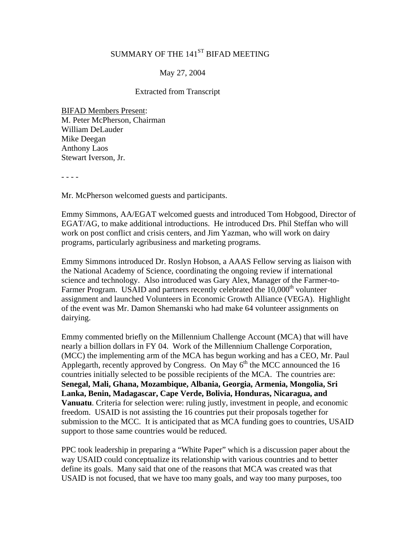# SUMMARY OF THE 141<sup>ST</sup> BIFAD MEETING

## May 27, 2004

#### Extracted from Transcript

BIFAD Members Present: M. Peter McPherson, Chairman William DeLauder Mike Deegan Anthony Laos Stewart Iverson, Jr.

- - - -

Mr. McPherson welcomed guests and participants.

Emmy Simmons, AA/EGAT welcomed guests and introduced Tom Hobgood, Director of EGAT/AG, to make additional introductions. He introduced Drs. Phil Steffan who will work on post conflict and crisis centers, and Jim Yazman, who will work on dairy programs, particularly agribusiness and marketing programs.

Emmy Simmons introduced Dr. Roslyn Hobson, a AAAS Fellow serving as liaison with the National Academy of Science, coordinating the ongoing review if international science and technology. Also introduced was Gary Alex, Manager of the Farmer-to-Farmer Program. USAID and partners recently celebrated the  $10,000<sup>th</sup>$  volunteer assignment and launched Volunteers in Economic Growth Alliance (VEGA). Highlight of the event was Mr. Damon Shemanski who had make 64 volunteer assignments on dairying.

Emmy commented briefly on the Millennium Challenge Account (MCA) that will have nearly a billion dollars in FY 04. Work of the Millennium Challenge Corporation, (MCC) the implementing arm of the MCA has begun working and has a CEO, Mr. Paul Applegarth, recently approved by Congress. On May  $6<sup>th</sup>$  the MCC announced the 16 countries initially selected to be possible recipients of the MCA. The countries are: **Senegal, Mali, Ghana, Mozambique, Albania, Georgia, Armenia, Mongolia, Sri Lanka, Benin, Madagascar, Cape Verde, Bolivia, Honduras, Nicaragua, and Vanuatu**. Criteria for selection were: ruling justly, investment in people, and economic freedom. USAID is not assisting the 16 countries put their proposals together for submission to the MCC. It is anticipated that as MCA funding goes to countries, USAID support to those same countries would be reduced.

PPC took leadership in preparing a "White Paper" which is a discussion paper about the way USAID could conceptualize its relationship with various countries and to better define its goals. Many said that one of the reasons that MCA was created was that USAID is not focused, that we have too many goals, and way too many purposes, too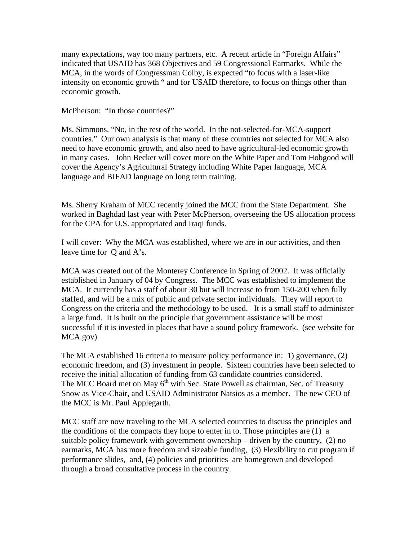many expectations, way too many partners, etc. A recent article in "Foreign Affairs" indicated that USAID has 368 Objectives and 59 Congressional Earmarks. While the MCA, in the words of Congressman Colby, is expected "to focus with a laser-like intensity on economic growth " and for USAID therefore, to focus on things other than economic growth.

McPherson: "In those countries?"

Ms. Simmons. "No, in the rest of the world. In the not-selected-for-MCA-support countries." Our own analysis is that many of these countries not selected for MCA also need to have economic growth, and also need to have agricultural-led economic growth in many cases. John Becker will cover more on the White Paper and Tom Hobgood will cover the Agency's Agricultural Strategy including White Paper language, MCA language and BIFAD language on long term training.

Ms. Sherry Kraham of MCC recently joined the MCC from the State Department. She worked in Baghdad last year with Peter McPherson, overseeing the US allocation process for the CPA for U.S. appropriated and Iraqi funds.

I will cover: Why the MCA was established, where we are in our activities, and then leave time for Q and A's.

MCA was created out of the Monterey Conference in Spring of 2002. It was officially established in January of 04 by Congress. The MCC was established to implement the MCA. It currently has a staff of about 30 but will increase to from 150-200 when fully staffed, and will be a mix of public and private sector individuals. They will report to Congress on the criteria and the methodology to be used. It is a small staff to administer a large fund. It is built on the principle that government assistance will be most successful if it is invested in places that have a sound policy framework. (see website for MCA.gov)

The MCA established 16 criteria to measure policy performance in: 1) governance, (2) economic freedom, and (3) investment in people. Sixteen countries have been selected to receive the initial allocation of funding from 63 candidate countries considered. The MCC Board met on May 6<sup>th</sup> with Sec. State Powell as chairman, Sec. of Treasury Snow as Vice-Chair, and USAID Administrator Natsios as a member. The new CEO of the MCC is Mr. Paul Applegarth.

MCC staff are now traveling to the MCA selected countries to discuss the principles and the conditions of the compacts they hope to enter in to. Those principles are (1) a suitable policy framework with government ownership – driven by the country, (2) no earmarks, MCA has more freedom and sizeable funding, (3) Flexibility to cut program if performance slides, and, (4) policies and priorities are homegrown and developed through a broad consultative process in the country.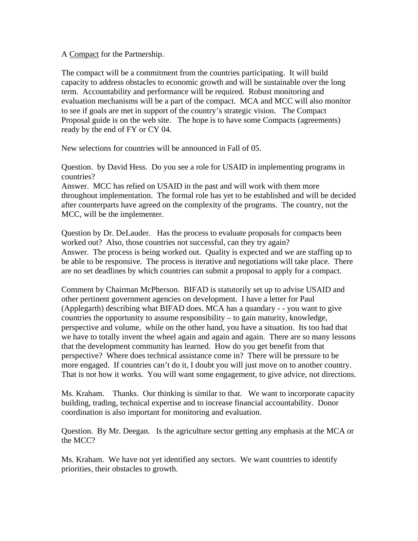#### A Compact for the Partnership.

The compact will be a commitment from the countries participating. It will build capacity to address obstacles to economic growth and will be sustainable over the long term. Accountability and performance will be required. Robust monitoring and evaluation mechanisms will be a part of the compact. MCA and MCC will also monitor to see if goals are met in support of the country's strategic vision. The Compact Proposal guide is on the web site. The hope is to have some Compacts (agreements) ready by the end of FY or CY 04.

New selections for countries will be announced in Fall of 05.

Question. by David Hess. Do you see a role for USAID in implementing programs in countries?

Answer. MCC has relied on USAID in the past and will work with them more throughout implementation. The formal role has yet to be established and will be decided after counterparts have agreed on the complexity of the programs. The country, not the MCC, will be the implementer.

Question by Dr. DeLauder. Has the process to evaluate proposals for compacts been worked out? Also, those countries not successful, can they try again? Answer. The process is being worked out. Quality is expected and we are staffing up to be able to be responsive. The process is iterative and negotiations will take place. There are no set deadlines by which countries can submit a proposal to apply for a compact.

Comment by Chairman McPherson. BIFAD is statutorily set up to advise USAID and other pertinent government agencies on development. I have a letter for Paul (Applegarth) describing what BIFAD does. MCA has a quandary - - you want to give countries the opportunity to assume responsibility – to gain maturity, knowledge, perspective and volume, while on the other hand, you have a situation. Its too bad that we have to totally invent the wheel again and again and again. There are so many lessons that the development community has learned. How do you get benefit from that perspective? Where does technical assistance come in? There will be pressure to be more engaged. If countries can't do it, I doubt you will just move on to another country. That is not how it works. You will want some engagement, to give advice, not directions.

Ms. Kraham. Thanks. Our thinking is similar to that. We want to incorporate capacity building, trading, technical expertise and to increase financial accountability. Donor coordination is also important for monitoring and evaluation.

Question. By Mr. Deegan. Is the agriculture sector getting any emphasis at the MCA or the MCC?

Ms. Kraham. We have not yet identified any sectors. We want countries to identify priorities, their obstacles to growth.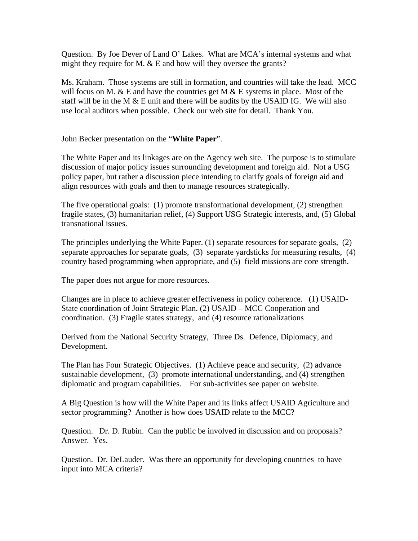Question. By Joe Dever of Land O' Lakes. What are MCA's internal systems and what might they require for M.  $& E$  and how will they oversee the grants?

Ms. Kraham. Those systems are still in formation, and countries will take the lead. MCC will focus on M.  $&$  E and have the countries get M  $&$  E systems in place. Most of the staff will be in the M  $&$  E unit and there will be audits by the USAID IG. We will also use local auditors when possible. Check our web site for detail. Thank You.

John Becker presentation on the "**White Paper**".

The White Paper and its linkages are on the Agency web site. The purpose is to stimulate discussion of major policy issues surrounding development and foreign aid. Not a USG policy paper, but rather a discussion piece intending to clarify goals of foreign aid and align resources with goals and then to manage resources strategically.

The five operational goals: (1) promote transformational development, (2) strengthen fragile states, (3) humanitarian relief, (4) Support USG Strategic interests, and, (5) Global transnational issues.

The principles underlying the White Paper. (1) separate resources for separate goals, (2) separate approaches for separate goals, (3) separate yardsticks for measuring results, (4) country based programming when appropriate, and (5) field missions are core strength.

The paper does not argue for more resources.

Changes are in place to achieve greater effectiveness in policy coherence. (1) USAID-State coordination of Joint Strategic Plan. (2) USAID – MCC Cooperation and coordination. (3) Fragile states strategy, and (4) resource rationalizations

Derived from the National Security Strategy, Three Ds. Defence, Diplomacy, and Development.

The Plan has Four Strategic Objectives. (1) Achieve peace and security, (2) advance sustainable development, (3) promote international understanding, and (4) strengthen diplomatic and program capabilities. For sub-activities see paper on website.

A Big Question is how will the White Paper and its links affect USAID Agriculture and sector programming? Another is how does USAID relate to the MCC?

Question. Dr. D. Rubin. Can the public be involved in discussion and on proposals? Answer. Yes.

Question. Dr. DeLauder. Was there an opportunity for developing countries to have input into MCA criteria?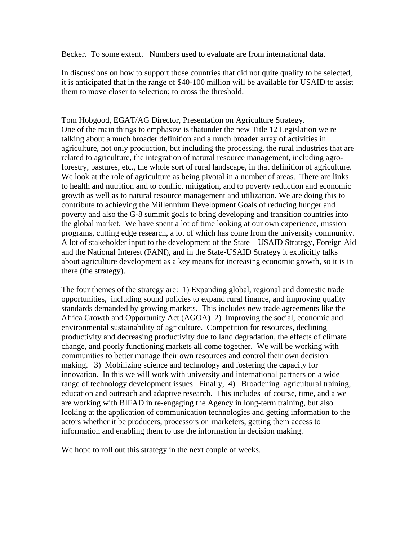Becker. To some extent. Numbers used to evaluate are from international data.

In discussions on how to support those countries that did not quite qualify to be selected, it is anticipated that in the range of \$40-100 million will be available for USAID to assist them to move closer to selection; to cross the threshold.

Tom Hobgood, EGAT/AG Director, Presentation on Agriculture Strategy. One of the main things to emphasize is thatunder the new Title 12 Legislation we re talking about a much broader definition and a much broader array of activities in agriculture, not only production, but including the processing, the rural industries that are related to agriculture, the integration of natural resource management, including agroforestry, pastures, etc., the whole sort of rural landscape, in that definition of agriculture. We look at the role of agriculture as being pivotal in a number of areas. There are links to health and nutrition and to conflict mitigation, and to poverty reduction and economic growth as well as to natural resource management and utilization. We are doing this to contribute to achieving the Millennium Development Goals of reducing hunger and poverty and also the G-8 summit goals to bring developing and transition countries into the global market. We have spent a lot of time looking at our own experience, mission programs, cutting edge research, a lot of which has come from the university community. A lot of stakeholder input to the development of the State – USAID Strategy, Foreign Aid and the National Interest (FANI), and in the State-USAID Strategy it explicitly talks about agriculture development as a key means for increasing economic growth, so it is in there (the strategy).

The four themes of the strategy are: 1) Expanding global, regional and domestic trade opportunities, including sound policies to expand rural finance, and improving quality standards demanded by growing markets. This includes new trade agreements like the Africa Growth and Opportunity Act (AGOA) 2) Improving the social, economic and environmental sustainability of agriculture. Competition for resources, declining productivity and decreasing productivity due to land degradation, the effects of climate change, and poorly functioning markets all come together. We will be working with communities to better manage their own resources and control their own decision making. 3) Mobilizing science and technology and fostering the capacity for innovation. In this we will work with university and international partners on a wide range of technology development issues. Finally, 4) Broadening agricultural training, education and outreach and adaptive research. This includes of course, time, and a we are working with BIFAD in re-engaging the Agency in long-term training, but also looking at the application of communication technologies and getting information to the actors whether it be producers, processors or marketers, getting them access to information and enabling them to use the information in decision making.

We hope to roll out this strategy in the next couple of weeks.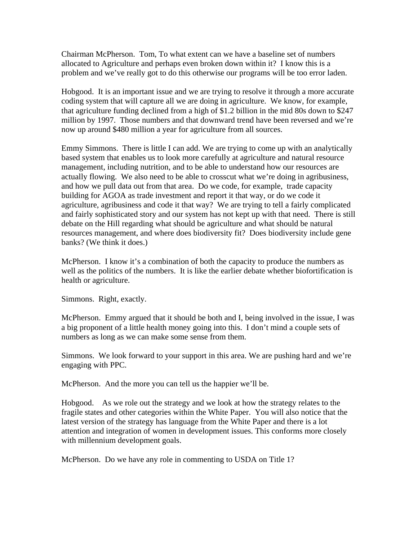Chairman McPherson. Tom, To what extent can we have a baseline set of numbers allocated to Agriculture and perhaps even broken down within it? I know this is a problem and we've really got to do this otherwise our programs will be too error laden.

Hobgood. It is an important issue and we are trying to resolve it through a more accurate coding system that will capture all we are doing in agriculture. We know, for example, that agriculture funding declined from a high of \$1.2 billion in the mid 80s down to \$247 million by 1997. Those numbers and that downward trend have been reversed and we're now up around \$480 million a year for agriculture from all sources.

Emmy Simmons. There is little I can add. We are trying to come up with an analytically based system that enables us to look more carefully at agriculture and natural resource management, including nutrition, and to be able to understand how our resources are actually flowing. We also need to be able to crosscut what we're doing in agribusiness, and how we pull data out from that area. Do we code, for example, trade capacity building for AGOA as trade investment and report it that way, or do we code it agriculture, agribusiness and code it that way? We are trying to tell a fairly complicated and fairly sophisticated story and our system has not kept up with that need. There is still debate on the Hill regarding what should be agriculture and what should be natural resources management, and where does biodiversity fit? Does biodiversity include gene banks? (We think it does.)

McPherson. I know it's a combination of both the capacity to produce the numbers as well as the politics of the numbers. It is like the earlier debate whether biofortification is health or agriculture.

Simmons. Right, exactly.

McPherson. Emmy argued that it should be both and I, being involved in the issue, I was a big proponent of a little health money going into this. I don't mind a couple sets of numbers as long as we can make some sense from them.

Simmons. We look forward to your support in this area. We are pushing hard and we're engaging with PPC.

McPherson. And the more you can tell us the happier we'll be.

Hobgood. As we role out the strategy and we look at how the strategy relates to the fragile states and other categories within the White Paper. You will also notice that the latest version of the strategy has language from the White Paper and there is a lot attention and integration of women in development issues. This conforms more closely with millennium development goals.

McPherson. Do we have any role in commenting to USDA on Title 1?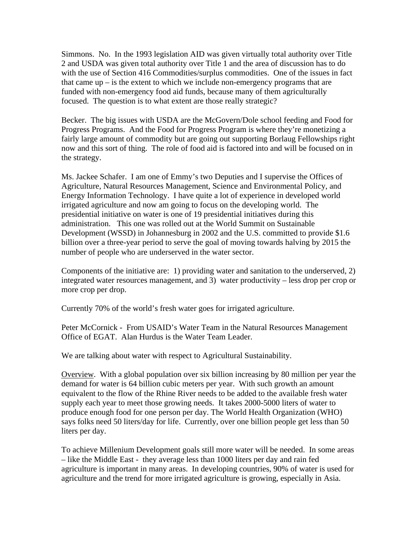Simmons. No. In the 1993 legislation AID was given virtually total authority over Title 2 and USDA was given total authority over Title 1 and the area of discussion has to do with the use of Section 416 Commodities/surplus commodities. One of the issues in fact that came  $up - is$  the extent to which we include non-emergency programs that are funded with non-emergency food aid funds, because many of them agriculturally focused. The question is to what extent are those really strategic?

Becker. The big issues with USDA are the McGovern/Dole school feeding and Food for Progress Programs. And the Food for Progress Program is where they're monetizing a fairly large amount of commodity but are going out supporting Borlaug Fellowships right now and this sort of thing. The role of food aid is factored into and will be focused on in the strategy.

Ms. Jackee Schafer. I am one of Emmy's two Deputies and I supervise the Offices of Agriculture, Natural Resources Management, Science and Environmental Policy, and Energy Information Technology. I have quite a lot of experience in developed world irrigated agriculture and now am going to focus on the developing world. The presidential initiative on water is one of 19 presidential initiatives during this administration. This one was rolled out at the World Summit on Sustainable Development (WSSD) in Johannesburg in 2002 and the U.S. committed to provide \$1.6 billion over a three-year period to serve the goal of moving towards halving by 2015 the number of people who are underserved in the water sector.

Components of the initiative are: 1) providing water and sanitation to the underserved, 2) integrated water resources management, and 3) water productivity – less drop per crop or more crop per drop.

Currently 70% of the world's fresh water goes for irrigated agriculture.

Peter McCornick - From USAID's Water Team in the Natural Resources Management Office of EGAT. Alan Hurdus is the Water Team Leader.

We are talking about water with respect to Agricultural Sustainability.

Overview. With a global population over six billion increasing by 80 million per year the demand for water is 64 billion cubic meters per year. With such growth an amount equivalent to the flow of the Rhine River needs to be added to the available fresh water supply each year to meet those growing needs. It takes 2000-5000 liters of water to produce enough food for one person per day. The World Health Organization (WHO) says folks need 50 liters/day for life. Currently, over one billion people get less than 50 liters per day.

To achieve Millenium Development goals still more water will be needed. In some areas – like the Middle East - they average less than 1000 liters per day and rain fed agriculture is important in many areas. In developing countries, 90% of water is used for agriculture and the trend for more irrigated agriculture is growing, especially in Asia.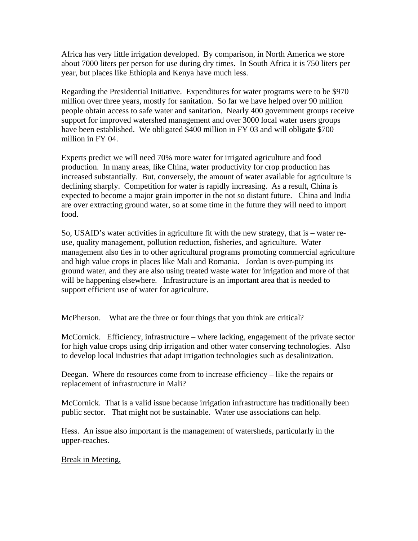Africa has very little irrigation developed. By comparison, in North America we store about 7000 liters per person for use during dry times. In South Africa it is 750 liters per year, but places like Ethiopia and Kenya have much less.

Regarding the Presidential Initiative. Expenditures for water programs were to be \$970 million over three years, mostly for sanitation. So far we have helped over 90 million people obtain access to safe water and sanitation. Nearly 400 government groups receive support for improved watershed management and over 3000 local water users groups have been established. We obligated \$400 million in FY 03 and will obligate \$700 million in FY 04.

Experts predict we will need 70% more water for irrigated agriculture and food production. In many areas, like China, water productivity for crop production has increased substantially. But, conversely, the amount of water available for agriculture is declining sharply. Competition for water is rapidly increasing. As a result, China is expected to become a major grain importer in the not so distant future. China and India are over extracting ground water, so at some time in the future they will need to import food.

So, USAID's water activities in agriculture fit with the new strategy, that is – water reuse, quality management, pollution reduction, fisheries, and agriculture. Water management also ties in to other agricultural programs promoting commercial agriculture and high value crops in places like Mali and Romania. Jordan is over-pumping its ground water, and they are also using treated waste water for irrigation and more of that will be happening elsewhere. Infrastructure is an important area that is needed to support efficient use of water for agriculture.

McPherson. What are the three or four things that you think are critical?

McCornick. Efficiency, infrastructure – where lacking, engagement of the private sector for high value crops using drip irrigation and other water conserving technologies. Also to develop local industries that adapt irrigation technologies such as desalinization.

Deegan. Where do resources come from to increase efficiency – like the repairs or replacement of infrastructure in Mali?

McCornick. That is a valid issue because irrigation infrastructure has traditionally been public sector. That might not be sustainable. Water use associations can help.

Hess. An issue also important is the management of watersheds, particularly in the upper-reaches.

## Break in Meeting.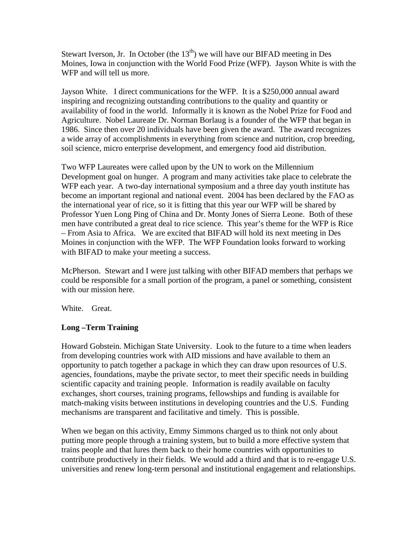Stewart Iverson, Jr. In October (the  $13<sup>th</sup>$ ) we will have our BIFAD meeting in Des Moines, Iowa in conjunction with the World Food Prize (WFP). Jayson White is with the WFP and will tell us more.

Jayson White. I direct communications for the WFP. It is a \$250,000 annual award inspiring and recognizing outstanding contributions to the quality and quantity or availability of food in the world. Informally it is known as the Nobel Prize for Food and Agriculture. Nobel Laureate Dr. Norman Borlaug is a founder of the WFP that began in 1986. Since then over 20 individuals have been given the award. The award recognizes a wide array of accomplishments in everything from science and nutrition, crop breeding, soil science, micro enterprise development, and emergency food aid distribution.

Two WFP Laureates were called upon by the UN to work on the Millennium Development goal on hunger. A program and many activities take place to celebrate the WFP each year. A two-day international symposium and a three day youth institute has become an important regional and national event. 2004 has been declared by the FAO as the international year of rice, so it is fitting that this year our WFP will be shared by Professor Yuen Long Ping of China and Dr. Monty Jones of Sierra Leone. Both of these men have contributed a great deal to rice science. This year's theme for the WFP is Rice – From Asia to Africa. We are excited that BIFAD will hold its next meeting in Des Moines in conjunction with the WFP. The WFP Foundation looks forward to working with BIFAD to make your meeting a success.

McPherson. Stewart and I were just talking with other BIFAD members that perhaps we could be responsible for a small portion of the program, a panel or something, consistent with our mission here.

White. Great.

# **Long –Term Training**

Howard Gobstein. Michigan State University. Look to the future to a time when leaders from developing countries work with AID missions and have available to them an opportunity to patch together a package in which they can draw upon resources of U.S. agencies, foundations, maybe the private sector, to meet their specific needs in building scientific capacity and training people. Information is readily available on faculty exchanges, short courses, training programs, fellowships and funding is available for match-making visits between institutions in developing countries and the U.S. Funding mechanisms are transparent and facilitative and timely. This is possible.

When we began on this activity, Emmy Simmons charged us to think not only about putting more people through a training system, but to build a more effective system that trains people and that lures them back to their home countries with opportunities to contribute productively in their fields. We would add a third and that is to re-engage U.S. universities and renew long-term personal and institutional engagement and relationships.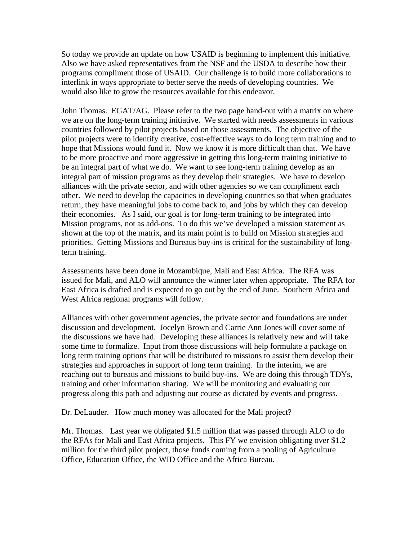So today we provide an update on how USAID is beginning to implement this initiative. Also we have asked representatives from the NSF and the USDA to describe how their programs compliment those of USAID. Our challenge is to build more collaborations to interlink in ways appropriate to better serve the needs of developing countries. We would also like to grow the resources available for this endeavor.

John Thomas. EGAT/AG. Please refer to the two page hand-out with a matrix on where we are on the long-term training initiative. We started with needs assessments in various countries followed by pilot projects based on those assessments. The objective of the pilot projects were to identify creative, cost-effective ways to do long term training and to hope that Missions would fund it. Now we know it is more difficult than that. We have to be more proactive and more aggressive in getting this long-term training initiative to be an integral part of what we do. We want to see long-term training develop as an integral part of mission programs as they develop their strategies. We have to develop alliances with the private sector, and with other agencies so we can compliment each other. We need to develop the capacities in developing countries so that when graduates return, they have meaningful jobs to come back to, and jobs by which they can develop their economies. As I said, our goal is for long-term training to be integrated into Mission programs, not as add-ons. To do this we've developed a mission statement as shown at the top of the matrix, and its main point is to build on Mission strategies and priorities. Getting Missions and Bureaus buy-ins is critical for the sustainability of longterm training.

Assessments have been done in Mozambique, Mali and East Africa. The RFA was issued for Mali, and ALO will announce the winner later when appropriate. The RFA for East Africa is drafted and is expected to go out by the end of June. Southern Africa and West Africa regional programs will follow.

Alliances with other government agencies, the private sector and foundations are under discussion and development. Jocelyn Brown and Carrie Ann Jones will cover some of the discussions we have had. Developing these alliances is relatively new and will take some time to formalize. Input from those discussions will help formulate a package on long term training options that will be distributed to missions to assist them develop their strategies and approaches in support of long term training. In the interim, we are reaching out to bureaus and missions to build buy-ins. We are doing this through TDYs, training and other information sharing. We will be monitoring and evaluating our progress along this path and adjusting our course as dictated by events and progress.

Dr. DeLauder. How much money was allocated for the Mali project?

Mr. Thomas. Last year we obligated \$1.5 million that was passed through ALO to do the RFAs for Mali and East Africa projects. This FY we envision obligating over \$1.2 million for the third pilot project, those funds coming from a pooling of Agriculture Office, Education Office, the WID Office and the Africa Bureau.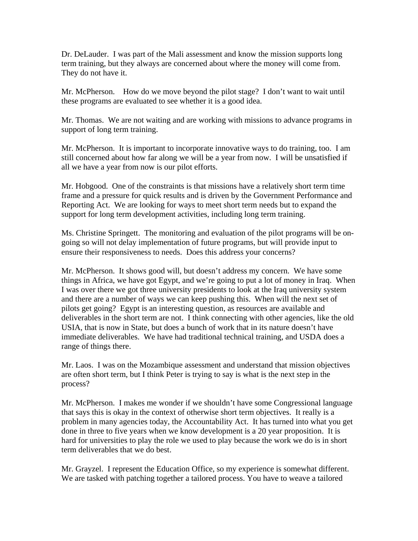Dr. DeLauder. I was part of the Mali assessment and know the mission supports long term training, but they always are concerned about where the money will come from. They do not have it.

Mr. McPherson. How do we move beyond the pilot stage? I don't want to wait until these programs are evaluated to see whether it is a good idea.

Mr. Thomas. We are not waiting and are working with missions to advance programs in support of long term training.

Mr. McPherson. It is important to incorporate innovative ways to do training, too. I am still concerned about how far along we will be a year from now. I will be unsatisfied if all we have a year from now is our pilot efforts.

Mr. Hobgood. One of the constraints is that missions have a relatively short term time frame and a pressure for quick results and is driven by the Government Performance and Reporting Act. We are looking for ways to meet short term needs but to expand the support for long term development activities, including long term training.

Ms. Christine Springett. The monitoring and evaluation of the pilot programs will be ongoing so will not delay implementation of future programs, but will provide input to ensure their responsiveness to needs. Does this address your concerns?

Mr. McPherson. It shows good will, but doesn't address my concern. We have some things in Africa, we have got Egypt, and we're going to put a lot of money in Iraq. When I was over there we got three university presidents to look at the Iraq university system and there are a number of ways we can keep pushing this. When will the next set of pilots get going? Egypt is an interesting question, as resources are available and deliverables in the short term are not. I think connecting with other agencies, like the old USIA, that is now in State, but does a bunch of work that in its nature doesn't have immediate deliverables. We have had traditional technical training, and USDA does a range of things there.

Mr. Laos. I was on the Mozambique assessment and understand that mission objectives are often short term, but I think Peter is trying to say is what is the next step in the process?

Mr. McPherson. I makes me wonder if we shouldn't have some Congressional language that says this is okay in the context of otherwise short term objectives. It really is a problem in many agencies today, the Accountability Act. It has turned into what you get done in three to five years when we know development is a 20 year proposition. It is hard for universities to play the role we used to play because the work we do is in short term deliverables that we do best.

Mr. Grayzel. I represent the Education Office, so my experience is somewhat different. We are tasked with patching together a tailored process. You have to weave a tailored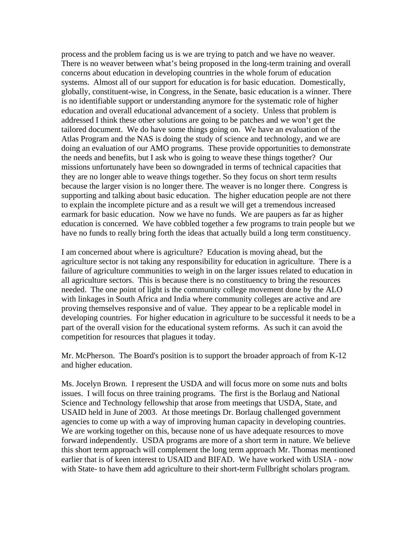process and the problem facing us is we are trying to patch and we have no weaver. There is no weaver between what's being proposed in the long-term training and overall concerns about education in developing countries in the whole forum of education systems. Almost all of our support for education is for basic education. Domestically, globally, constituent-wise, in Congress, in the Senate, basic education is a winner. There is no identifiable support or understanding anymore for the systematic role of higher education and overall educational advancement of a society. Unless that problem is addressed I think these other solutions are going to be patches and we won't get the tailored document. We do have some things going on. We have an evaluation of the Atlas Program and the NAS is doing the study of science and technology, and we are doing an evaluation of our AMO programs. These provide opportunities to demonstrate the needs and benefits, but I ask who is going to weave these things together? Our missions unfortunately have been so downgraded in terms of technical capacities that they are no longer able to weave things together. So they focus on short term results because the larger vision is no longer there. The weaver is no longer there. Congress is supporting and talking about basic education. The higher education people are not there to explain the incomplete picture and as a result we will get a tremendous increased earmark for basic education. Now we have no funds. We are paupers as far as higher education is concerned. We have cobbled together a few programs to train people but we have no funds to really bring forth the ideas that actually build a long term constituency.

I am concerned about where is agriculture? Education is moving ahead, but the agriculture sector is not taking any responsibility for education in agriculture. There is a failure of agriculture communities to weigh in on the larger issues related to education in all agriculture sectors. This is because there is no constituency to bring the resources needed. The one point of light is the community college movement done by the ALO with linkages in South Africa and India where community colleges are active and are proving themselves responsive and of value. They appear to be a replicable model in developing countries. For higher education in agriculture to be successful it needs to be a part of the overall vision for the educational system reforms. As such it can avoid the competition for resources that plagues it today.

Mr. McPherson. The Board's position is to support the broader approach of from K-12 and higher education.

Ms. Jocelyn Brown. I represent the USDA and will focus more on some nuts and bolts issues. I will focus on three training programs. The first is the Borlaug and National Science and Technology fellowship that arose from meetings that USDA, State, and USAID held in June of 2003. At those meetings Dr. Borlaug challenged government agencies to come up with a way of improving human capacity in developing countries. We are working together on this, because none of us have adequate resources to move forward independently. USDA programs are more of a short term in nature. We believe this short term approach will complement the long term approach Mr. Thomas mentioned earlier that is of keen interest to USAID and BIFAD. We have worked with USIA - now with State- to have them add agriculture to their short-term Fullbright scholars program.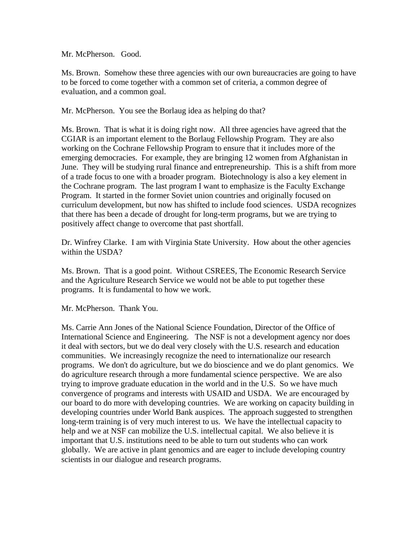Mr. McPherson. Good.

Ms. Brown. Somehow these three agencies with our own bureaucracies are going to have to be forced to come together with a common set of criteria, a common degree of evaluation, and a common goal.

Mr. McPherson. You see the Borlaug idea as helping do that?

Ms. Brown. That is what it is doing right now. All three agencies have agreed that the CGIAR is an important element to the Borlaug Fellowship Program. They are also working on the Cochrane Fellowship Program to ensure that it includes more of the emerging democracies. For example, they are bringing 12 women from Afghanistan in June. They will be studying rural finance and entrepreneurship. This is a shift from more of a trade focus to one with a broader program. Biotechnology is also a key element in the Cochrane program. The last program I want to emphasize is the Faculty Exchange Program. It started in the former Soviet union countries and originally focused on curriculum development, but now has shifted to include food sciences. USDA recognizes that there has been a decade of drought for long-term programs, but we are trying to positively affect change to overcome that past shortfall.

Dr. Winfrey Clarke. I am with Virginia State University. How about the other agencies within the USDA?

Ms. Brown. That is a good point. Without CSREES, The Economic Research Service and the Agriculture Research Service we would not be able to put together these programs. It is fundamental to how we work.

Mr. McPherson. Thank You.

Ms. Carrie Ann Jones of the National Science Foundation, Director of the Office of International Science and Engineering. The NSF is not a development agency nor does it deal with sectors, but we do deal very closely with the U.S. research and education communities. We increasingly recognize the need to internationalize our research programs. We don't do agriculture, but we do bioscience and we do plant genomics. We do agriculture research through a more fundamental science perspective. We are also trying to improve graduate education in the world and in the U.S. So we have much convergence of programs and interests with USAID and USDA. We are encouraged by our board to do more with developing countries. We are working on capacity building in developing countries under World Bank auspices. The approach suggested to strengthen long-term training is of very much interest to us. We have the intellectual capacity to help and we at NSF can mobilize the U.S. intellectual capital. We also believe it is important that U.S. institutions need to be able to turn out students who can work globally. We are active in plant genomics and are eager to include developing country scientists in our dialogue and research programs.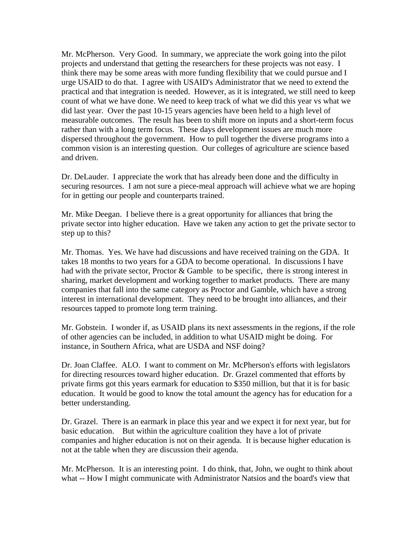Mr. McPherson. Very Good. In summary, we appreciate the work going into the pilot projects and understand that getting the researchers for these projects was not easy. I think there may be some areas with more funding flexibility that we could pursue and I urge USAID to do that. I agree with USAID's Administrator that we need to extend the practical and that integration is needed. However, as it is integrated, we still need to keep count of what we have done. We need to keep track of what we did this year vs what we did last year. Over the past 10-15 years agencies have been held to a high level of measurable outcomes. The result has been to shift more on inputs and a short-term focus rather than with a long term focus. These days development issues are much more dispersed throughout the government. How to pull together the diverse programs into a common vision is an interesting question. Our colleges of agriculture are science based and driven.

Dr. DeLauder. I appreciate the work that has already been done and the difficulty in securing resources. I am not sure a piece-meal approach will achieve what we are hoping for in getting our people and counterparts trained.

Mr. Mike Deegan. I believe there is a great opportunity for alliances that bring the private sector into higher education. Have we taken any action to get the private sector to step up to this?

Mr. Thomas. Yes. We have had discussions and have received training on the GDA. It takes 18 months to two years for a GDA to become operational. In discussions I have had with the private sector, Proctor & Gamble to be specific, there is strong interest in sharing, market development and working together to market products. There are many companies that fall into the same category as Proctor and Gamble, which have a strong interest in international development. They need to be brought into alliances, and their resources tapped to promote long term training.

Mr. Gobstein. I wonder if, as USAID plans its next assessments in the regions, if the role of other agencies can be included, in addition to what USAID might be doing. For instance, in Southern Africa, what are USDA and NSF doing?

Dr. Joan Claffee. ALO. I want to comment on Mr. McPherson's efforts with legislators for directing resources toward higher education. Dr. Grazel commented that efforts by private firms got this years earmark for education to \$350 million, but that it is for basic education. It would be good to know the total amount the agency has for education for a better understanding.

Dr. Grazel. There is an earmark in place this year and we expect it for next year, but for basic education. But within the agriculture coalition they have a lot of private companies and higher education is not on their agenda. It is because higher education is not at the table when they are discussion their agenda.

Mr. McPherson. It is an interesting point. I do think, that, John, we ought to think about what -- How I might communicate with Administrator Natsios and the board's view that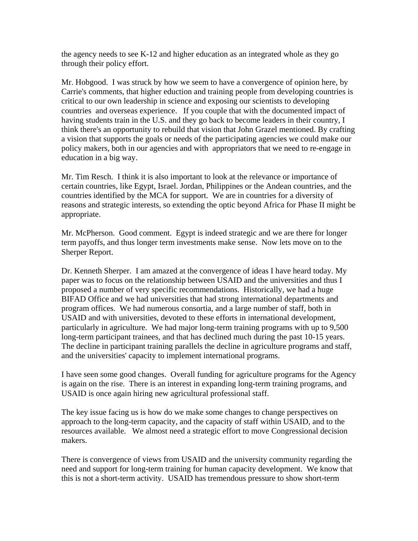the agency needs to see K-12 and higher education as an integrated whole as they go through their policy effort.

Mr. Hobgood. I was struck by how we seem to have a convergence of opinion here, by Carrie's comments, that higher eduction and training people from developing countries is critical to our own leadership in science and exposing our scientists to developing countries and overseas experience. If you couple that with the documented impact of having students train in the U.S. and they go back to become leaders in their country, I think there's an opportunity to rebuild that vision that John Grazel mentioned. By crafting a vision that supports the goals or needs of the participating agencies we could make our policy makers, both in our agencies and with appropriators that we need to re-engage in education in a big way.

Mr. Tim Resch. I think it is also important to look at the relevance or importance of certain countries, like Egypt, Israel. Jordan, Philippines or the Andean countries, and the countries identified by the MCA for support. We are in countries for a diversity of reasons and strategic interests, so extending the optic beyond Africa for Phase II might be appropriate.

Mr. McPherson. Good comment. Egypt is indeed strategic and we are there for longer term payoffs, and thus longer term investments make sense. Now lets move on to the Sherper Report.

Dr. Kenneth Sherper. I am amazed at the convergence of ideas I have heard today. My paper was to focus on the relationship between USAID and the universities and thus I proposed a number of very specific recommendations. Historically, we had a huge BIFAD Office and we had universities that had strong international departments and program offices. We had numerous consortia, and a large number of staff, both in USAID and with universities, devoted to these efforts in international development, particularly in agriculture. We had major long-term training programs with up to 9,500 long-term participant trainees, and that has declined much during the past 10-15 years. The decline in participant training parallels the decline in agriculture programs and staff, and the universities' capacity to implement international programs.

I have seen some good changes. Overall funding for agriculture programs for the Agency is again on the rise. There is an interest in expanding long-term training programs, and USAID is once again hiring new agricultural professional staff.

The key issue facing us is how do we make some changes to change perspectives on approach to the long-term capacity, and the capacity of staff within USAID, and to the resources available. We almost need a strategic effort to move Congressional decision makers.

There is convergence of views from USAID and the university community regarding the need and support for long-term training for human capacity development. We know that this is not a short-term activity. USAID has tremendous pressure to show short-term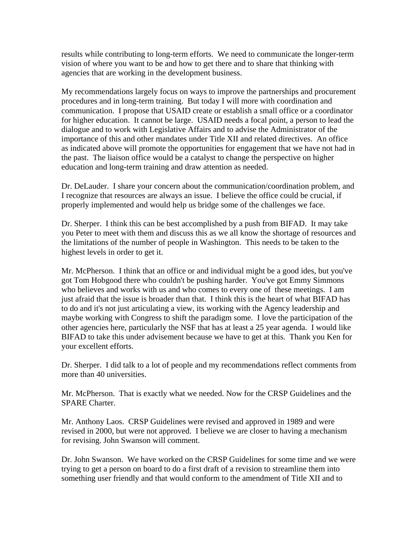results while contributing to long-term efforts. We need to communicate the longer-term vision of where you want to be and how to get there and to share that thinking with agencies that are working in the development business.

My recommendations largely focus on ways to improve the partnerships and procurement procedures and in long-term training. But today I will more with coordination and communication. I propose that USAID create or establish a small office or a coordinator for higher education. It cannot be large. USAID needs a focal point, a person to lead the dialogue and to work with Legislative Affairs and to advise the Administrator of the importance of this and other mandates under Title XII and related directives. An office as indicated above will promote the opportunities for engagement that we have not had in the past. The liaison office would be a catalyst to change the perspective on higher education and long-term training and draw attention as needed.

Dr. DeLauder. I share your concern about the communication/coordination problem, and I recognize that resources are always an issue. I believe the office could be crucial, if properly implemented and would help us bridge some of the challenges we face.

Dr. Sherper. I think this can be best accomplished by a push from BIFAD. It may take you Peter to meet with them and discuss this as we all know the shortage of resources and the limitations of the number of people in Washington. This needs to be taken to the highest levels in order to get it.

Mr. McPherson. I think that an office or and individual might be a good ides, but you've got Tom Hobgood there who couldn't be pushing harder. You've got Emmy Simmons who believes and works with us and who comes to every one of these meetings. I am just afraid that the issue is broader than that. I think this is the heart of what BIFAD has to do and it's not just articulating a view, its working with the Agency leadership and maybe working with Congress to shift the paradigm some. I love the participation of the other agencies here, particularly the NSF that has at least a 25 year agenda. I would like BIFAD to take this under advisement because we have to get at this. Thank you Ken for your excellent efforts.

Dr. Sherper. I did talk to a lot of people and my recommendations reflect comments from more than 40 universities.

Mr. McPherson. That is exactly what we needed. Now for the CRSP Guidelines and the SPARE Charter.

Mr. Anthony Laos. CRSP Guidelines were revised and approved in 1989 and were revised in 2000, but were not approved. I believe we are closer to having a mechanism for revising. John Swanson will comment.

Dr. John Swanson. We have worked on the CRSP Guidelines for some time and we were trying to get a person on board to do a first draft of a revision to streamline them into something user friendly and that would conform to the amendment of Title XII and to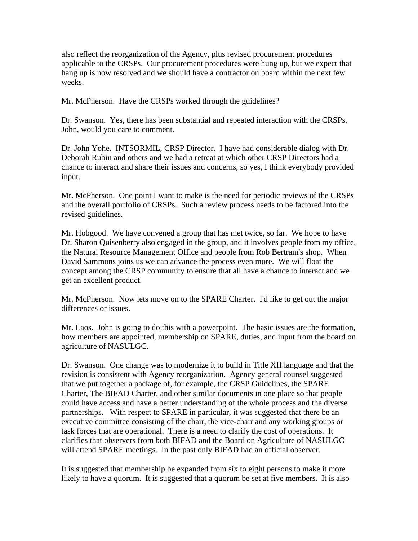also reflect the reorganization of the Agency, plus revised procurement procedures applicable to the CRSPs. Our procurement procedures were hung up, but we expect that hang up is now resolved and we should have a contractor on board within the next few weeks.

Mr. McPherson. Have the CRSPs worked through the guidelines?

Dr. Swanson. Yes, there has been substantial and repeated interaction with the CRSPs. John, would you care to comment.

Dr. John Yohe. INTSORMIL, CRSP Director. I have had considerable dialog with Dr. Deborah Rubin and others and we had a retreat at which other CRSP Directors had a chance to interact and share their issues and concerns, so yes, I think everybody provided input.

Mr. McPherson. One point I want to make is the need for periodic reviews of the CRSPs and the overall portfolio of CRSPs. Such a review process needs to be factored into the revised guidelines.

Mr. Hobgood. We have convened a group that has met twice, so far. We hope to have Dr. Sharon Quisenberry also engaged in the group, and it involves people from my office, the Natural Resource Management Office and people from Rob Bertram's shop. When David Sammons joins us we can advance the process even more. We will float the concept among the CRSP community to ensure that all have a chance to interact and we get an excellent product.

Mr. McPherson. Now lets move on to the SPARE Charter. I'd like to get out the major differences or issues.

Mr. Laos. John is going to do this with a powerpoint. The basic issues are the formation, how members are appointed, membership on SPARE, duties, and input from the board on agriculture of NASULGC.

Dr. Swanson. One change was to modernize it to build in Title XII language and that the revision is consistent with Agency reorganization. Agency general counsel suggested that we put together a package of, for example, the CRSP Guidelines, the SPARE Charter, The BIFAD Charter, and other similar documents in one place so that people could have access and have a better understanding of the whole process and the diverse partnerships. With respect to SPARE in particular, it was suggested that there be an executive committee consisting of the chair, the vice-chair and any working groups or task forces that are operational. There is a need to clarify the cost of operations. It clarifies that observers from both BIFAD and the Board on Agriculture of NASULGC will attend SPARE meetings. In the past only BIFAD had an official observer.

It is suggested that membership be expanded from six to eight persons to make it more likely to have a quorum. It is suggested that a quorum be set at five members. It is also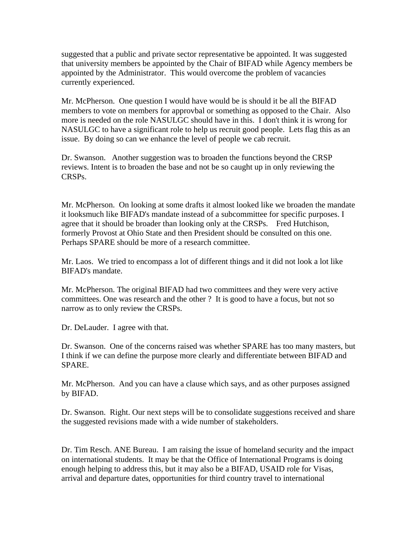suggested that a public and private sector representative be appointed. It was suggested that university members be appointed by the Chair of BIFAD while Agency members be appointed by the Administrator. This would overcome the problem of vacancies currently experienced.

Mr. McPherson. One question I would have would be is should it be all the BIFAD members to vote on members for approvbal or something as opposed to the Chair. Also more is needed on the role NASULGC should have in this. I don't think it is wrong for NASULGC to have a significant role to help us recruit good people. Lets flag this as an issue. By doing so can we enhance the level of people we cab recruit.

Dr. Swanson. Another suggestion was to broaden the functions beyond the CRSP reviews. Intent is to broaden the base and not be so caught up in only reviewing the CRSPs.

Mr. McPherson. On looking at some drafts it almost looked like we broaden the mandate it looksmuch like BIFAD's mandate instead of a subcommittee for specific purposes. I agree that it should be broader than looking only at the CRSPs. Fred Hutchison, formerly Provost at Ohio State and then President should be consulted on this one. Perhaps SPARE should be more of a research committee.

Mr. Laos. We tried to encompass a lot of different things and it did not look a lot like BIFAD's mandate.

Mr. McPherson. The original BIFAD had two committees and they were very active committees. One was research and the other ? It is good to have a focus, but not so narrow as to only review the CRSPs.

Dr. DeLauder. I agree with that.

Dr. Swanson. One of the concerns raised was whether SPARE has too many masters, but I think if we can define the purpose more clearly and differentiate between BIFAD and SPARE.

Mr. McPherson. And you can have a clause which says, and as other purposes assigned by BIFAD.

Dr. Swanson. Right. Our next steps will be to consolidate suggestions received and share the suggested revisions made with a wide number of stakeholders.

Dr. Tim Resch. ANE Bureau. I am raising the issue of homeland security and the impact on international students. It may be that the Office of International Programs is doing enough helping to address this, but it may also be a BIFAD, USAID role for Visas, arrival and departure dates, opportunities for third country travel to international